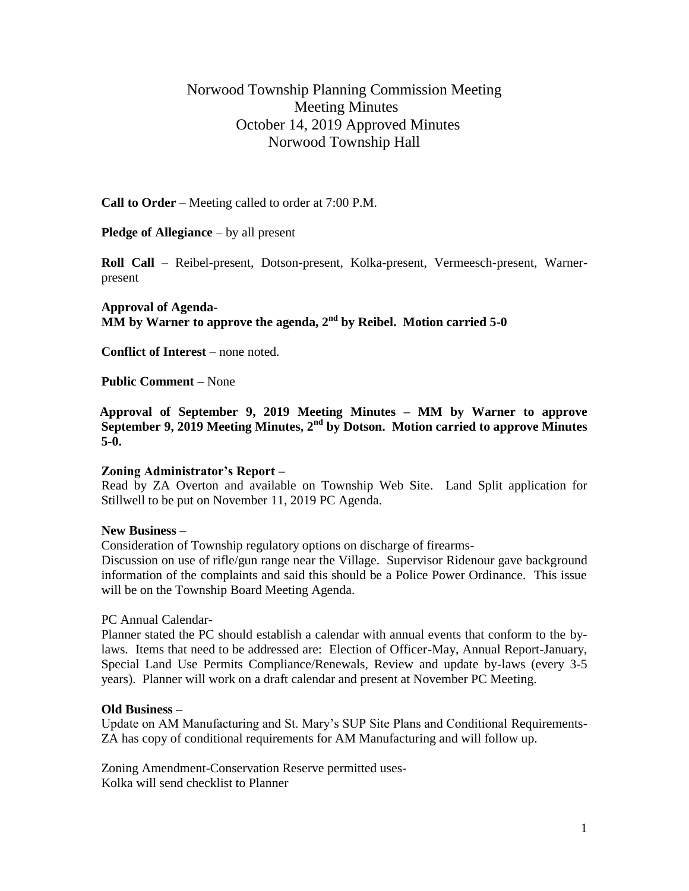# Norwood Township Planning Commission Meeting Meeting Minutes October 14, 2019 Approved Minutes Norwood Township Hall

**Call to Order** – Meeting called to order at 7:00 P.M.

**Pledge of Allegiance** – by all present

**Roll Call** – Reibel-present, Dotson-present, Kolka-present, Vermeesch-present, Warnerpresent

**Approval of Agenda-** $\overline{\text{MM}}$  by Warner to approve the agenda, 2<sup>nd</sup> by Reibel. Motion carried 5-0

**Conflict of Interest** – none noted.

**Public Comment –** None

 **Approval of September 9, 2019 Meeting Minutes – MM by Warner to approve September 9, 2019 Meeting Minutes, 2nd by Dotson. Motion carried to approve Minutes 5-0.**

# **Zoning Administrator's Report –**

Read by ZA Overton and available on Township Web Site. Land Split application for Stillwell to be put on November 11, 2019 PC Agenda.

# **New Business –**

Consideration of Township regulatory options on discharge of firearms-

Discussion on use of rifle/gun range near the Village. Supervisor Ridenour gave background information of the complaints and said this should be a Police Power Ordinance. This issue will be on the Township Board Meeting Agenda.

PC Annual Calendar-

Planner stated the PC should establish a calendar with annual events that conform to the bylaws. Items that need to be addressed are: Election of Officer-May, Annual Report-January, Special Land Use Permits Compliance/Renewals, Review and update by-laws (every 3-5 years). Planner will work on a draft calendar and present at November PC Meeting.

# **Old Business –**

Update on AM Manufacturing and St. Mary's SUP Site Plans and Conditional Requirements-ZA has copy of conditional requirements for AM Manufacturing and will follow up.

Zoning Amendment-Conservation Reserve permitted uses-Kolka will send checklist to Planner